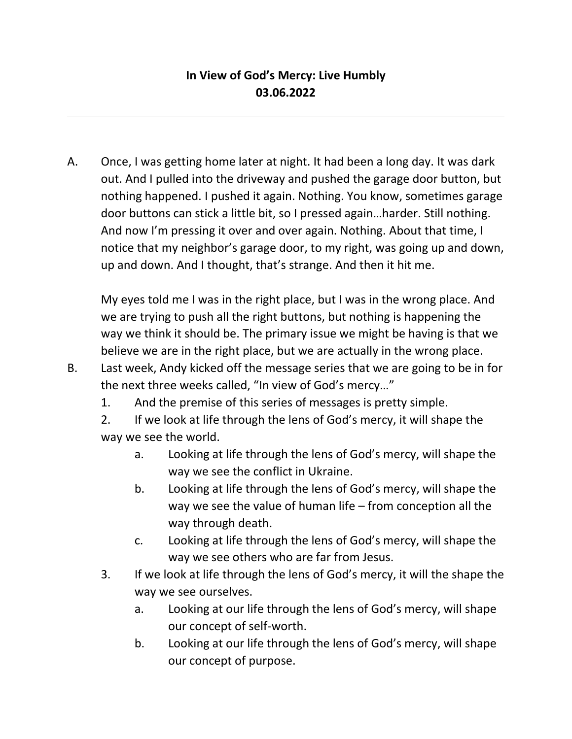# **In View of God's Mercy: Live Humbly 03.06.2022**

A. Once, I was getting home later at night. It had been a long day. It was dark out. And I pulled into the driveway and pushed the garage door button, but nothing happened. I pushed it again. Nothing. You know, sometimes garage door buttons can stick a little bit, so I pressed again…harder. Still nothing. And now I'm pressing it over and over again. Nothing. About that time, I notice that my neighbor's garage door, to my right, was going up and down, up and down. And I thought, that's strange. And then it hit me.

My eyes told me I was in the right place, but I was in the wrong place. And we are trying to push all the right buttons, but nothing is happening the way we think it should be. The primary issue we might be having is that we believe we are in the right place, but we are actually in the wrong place.

- B. Last week, Andy kicked off the message series that we are going to be in for the next three weeks called, "In view of God's mercy…"
	- 1. And the premise of this series of messages is pretty simple.

2. If we look at life through the lens of God's mercy, it will shape the way we see the world.

- a. Looking at life through the lens of God's mercy, will shape the way we see the conflict in Ukraine.
- b. Looking at life through the lens of God's mercy, will shape the way we see the value of human life – from conception all the way through death.
- c. Looking at life through the lens of God's mercy, will shape the way we see others who are far from Jesus.
- 3. If we look at life through the lens of God's mercy, it will the shape the way we see ourselves.
	- a. Looking at our life through the lens of God's mercy, will shape our concept of self-worth.
	- b. Looking at our life through the lens of God's mercy, will shape our concept of purpose.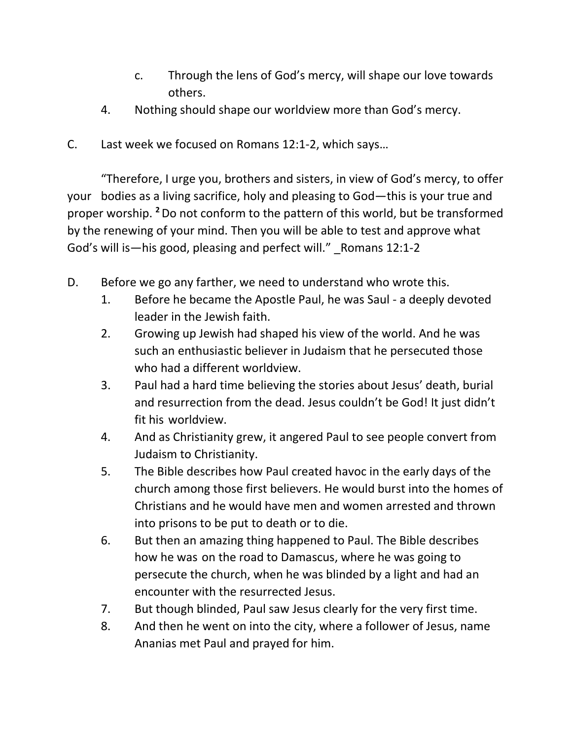- c. Through the lens of God's mercy, will shape our love towards others.
- 4. Nothing should shape our worldview more than God's mercy.
- C. Last week we focused on Romans 12:1-2, which says…

"Therefore, I urge you, brothers and sisters, in view of God's mercy, to offer your bodies as a living sacrifice, holy and pleasing to God—this is your true and proper worship. **<sup>2</sup>**Do not conform to the pattern of this world, but be transformed by the renewing of your mind. Then you will be able to test and approve what God's will is—his good, pleasing and perfect will." Romans 12:1-2

- D. Before we go any farther, we need to understand who wrote this.
	- 1. Before he became the Apostle Paul, he was Saul a deeply devoted leader in the Jewish faith.
	- 2. Growing up Jewish had shaped his view of the world. And he was such an enthusiastic believer in Judaism that he persecuted those who had a different worldview.
	- 3. Paul had a hard time believing the stories about Jesus' death, burial and resurrection from the dead. Jesus couldn't be God! It just didn't fit his worldview.
	- 4. And as Christianity grew, it angered Paul to see people convert from Judaism to Christianity.
	- 5. The Bible describes how Paul created havoc in the early days of the church among those first believers. He would burst into the homes of Christians and he would have men and women arrested and thrown into prisons to be put to death or to die.
	- 6. But then an amazing thing happened to Paul. The Bible describes how he was on the road to Damascus, where he was going to persecute the church, when he was blinded by a light and had an encounter with the resurrected Jesus.
	- 7. But though blinded, Paul saw Jesus clearly for the very first time.
	- 8. And then he went on into the city, where a follower of Jesus, name Ananias met Paul and prayed for him.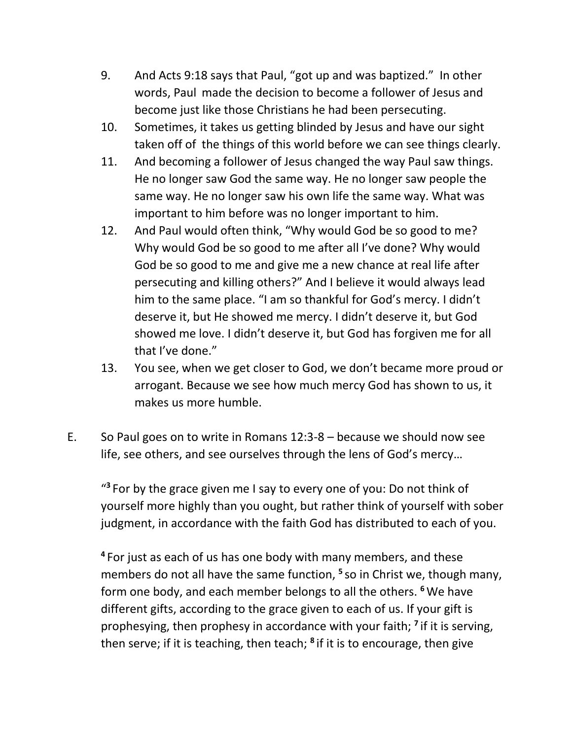- 9. And Acts 9:18 says that Paul, "got up and was baptized." In other words, Paul made the decision to become a follower of Jesus and become just like those Christians he had been persecuting.
- 10. Sometimes, it takes us getting blinded by Jesus and have our sight taken off of the things of this world before we can see things clearly.
- 11. And becoming a follower of Jesus changed the way Paul saw things. He no longer saw God the same way. He no longer saw people the same way. He no longer saw his own life the same way. What was important to him before was no longer important to him.
- 12. And Paul would often think, "Why would God be so good to me? Why would God be so good to me after all I've done? Why would God be so good to me and give me a new chance at real life after persecuting and killing others?" And I believe it would always lead him to the same place. "I am so thankful for God's mercy. I didn't deserve it, but He showed me mercy. I didn't deserve it, but God showed me love. I didn't deserve it, but God has forgiven me for all that I've done."
- 13. You see, when we get closer to God, we don't became more proud or arrogant. Because we see how much mercy God has shown to us, it makes us more humble.
- E. So Paul goes on to write in Romans 12:3-8 because we should now see life, see others, and see ourselves through the lens of God's mercy…

<sup>43</sup> For by the grace given me I say to every one of you: Do not think of yourself more highly than you ought, but rather think of yourself with sober judgment, in accordance with the faith God has distributed to each of you.

**4** For just as each of us has one body with many members, and these members do not all have the same function, **<sup>5</sup>** so in Christ we, though many, form one body, and each member belongs to all the others. **<sup>6</sup>**We have different gifts, according to the grace given to each of us. If your gift is prophesying, then prophesy in accordance with your faith; **<sup>7</sup>** if it is serving, then serve; if it is teaching, then teach; **<sup>8</sup>** if it is to encourage, then give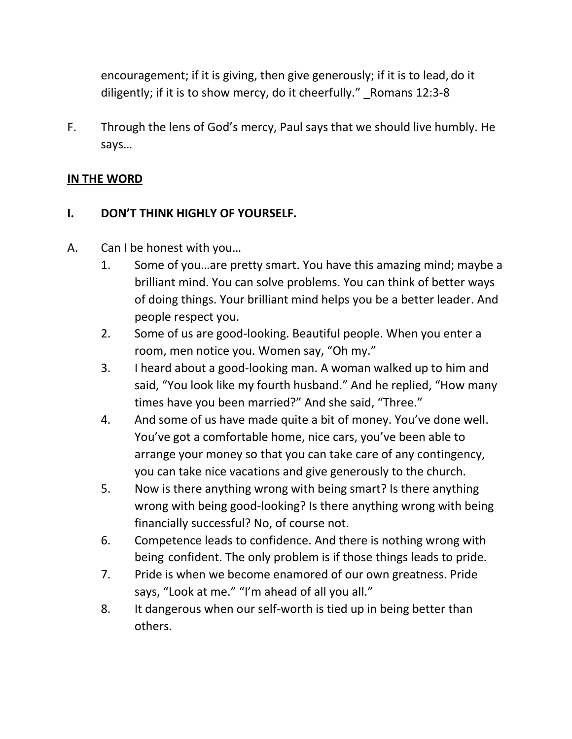encouragement; if it is giving, then give generously; if it is to lead, do it diligently; if it is to show mercy, do it cheerfully." Romans 12:3-8

F. Through the lens of God's mercy, Paul says that we should live humbly. He says…

## **IN THE WORD**

## **I. DON'T THINK HIGHLY OF YOURSELF.**

- A. Can I be honest with you…
	- 1. Some of you…are pretty smart. You have this amazing mind; maybe a brilliant mind. You can solve problems. You can think of better ways of doing things. Your brilliant mind helps you be a better leader. And people respect you.
	- 2. Some of us are good-looking. Beautiful people. When you enter a room, men notice you. Women say, "Oh my."
	- 3. I heard about a good-looking man. A woman walked up to him and said, "You look like my fourth husband." And he replied, "How many times have you been married?" And she said, "Three."
	- 4. And some of us have made quite a bit of money. You've done well. You've got a comfortable home, nice cars, you've been able to arrange your money so that you can take care of any contingency, you can take nice vacations and give generously to the church.
	- 5. Now is there anything wrong with being smart? Is there anything wrong with being good-looking? Is there anything wrong with being financially successful? No, of course not.
	- 6. Competence leads to confidence. And there is nothing wrong with being confident. The only problem is if those things leads to pride.
	- 7. Pride is when we become enamored of our own greatness. Pride says, "Look at me." "I'm ahead of all you all."
	- 8. It dangerous when our self-worth is tied up in being better than others.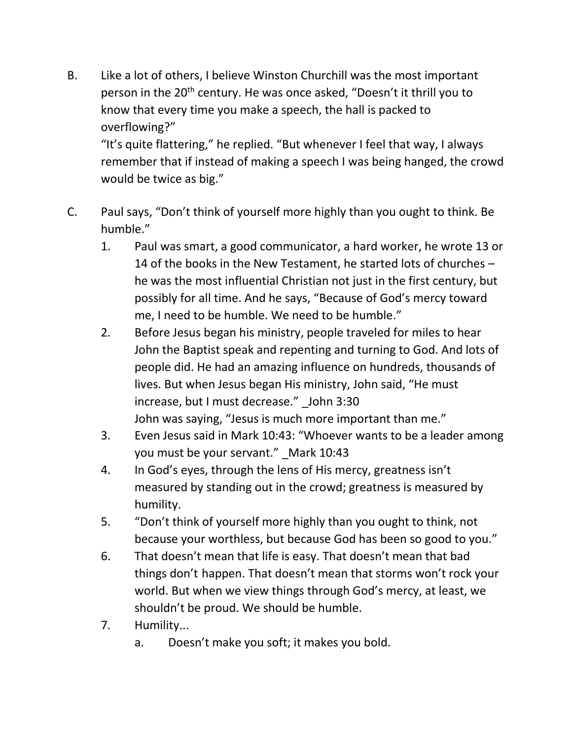B. Like a lot of others, I believe Winston Churchill was the most important person in the 20<sup>th</sup> century. He was once asked, "Doesn't it thrill you to know that every time you make a speech, the hall is packed to overflowing?"

"It's quite flattering," he replied. "But whenever I feel that way, I always remember that if instead of making a speech I was being hanged, the crowd would be twice as big."

- C. Paul says, "Don't think of yourself more highly than you ought to think. Be humble."
	- 1. Paul was smart, a good communicator, a hard worker, he wrote 13 or 14 of the books in the New Testament, he started lots of churches – he was the most influential Christian not just in the first century, but possibly for all time. And he says, "Because of God's mercy toward me, I need to be humble. We need to be humble."
	- 2. Before Jesus began his ministry, people traveled for miles to hear John the Baptist speak and repenting and turning to God. And lots of people did. He had an amazing influence on hundreds, thousands of lives. But when Jesus began His ministry, John said, "He must increase, but I must decrease." John 3:30 John was saying, "Jesus is much more important than me."
	- 3. Even Jesus said in Mark 10:43: "Whoever wants to be a leader among you must be your servant." Mark 10:43
	- 4. In God's eyes, through the lens of His mercy, greatness isn't measured by standing out in the crowd; greatness is measured by humility.
	- 5. "Don't think of yourself more highly than you ought to think, not because your worthless, but because God has been so good to you."
	- 6. That doesn't mean that life is easy. That doesn't mean that bad things don't happen. That doesn't mean that storms won't rock your world. But when we view things through God's mercy, at least, we shouldn't be proud. We should be humble.
	- 7. Humility...
		- a. Doesn't make you soft; it makes you bold.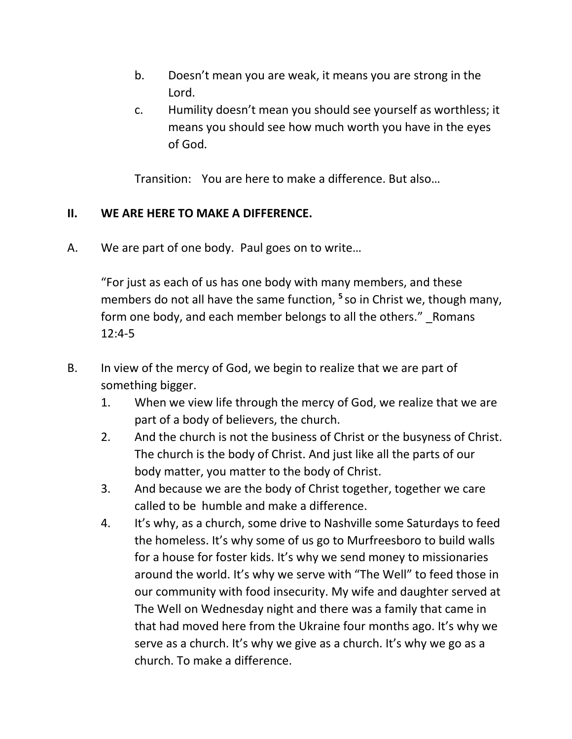- b. Doesn't mean you are weak, it means you are strong in the Lord.
- c. Humility doesn't mean you should see yourself as worthless; it means you should see how much worth you have in the eyes of God.

Transition: You are here to make a difference. But also…

#### **II. WE ARE HERE TO MAKE A DIFFERENCE.**

A. We are part of one body. Paul goes on to write…

"For just as each of us has one body with many members, and these members do not all have the same function, **<sup>5</sup>** so in Christ we, though many, form one body, and each member belongs to all the others." Romans 12:4-5

- B. In view of the mercy of God, we begin to realize that we are part of something bigger.
	- 1. When we view life through the mercy of God, we realize that we are part of a body of believers, the church.
	- 2. And the church is not the business of Christ or the busyness of Christ. The church is the body of Christ. And just like all the parts of our body matter, you matter to the body of Christ.
	- 3. And because we are the body of Christ together, together we care called to be humble and make a difference.
	- 4. It's why, as a church, some drive to Nashville some Saturdays to feed the homeless. It's why some of us go to Murfreesboro to build walls for a house for foster kids. It's why we send money to missionaries around the world. It's why we serve with "The Well" to feed those in our community with food insecurity. My wife and daughter served at The Well on Wednesday night and there was a family that came in that had moved here from the Ukraine four months ago. It's why we serve as a church. It's why we give as a church. It's why we go as a church. To make a difference.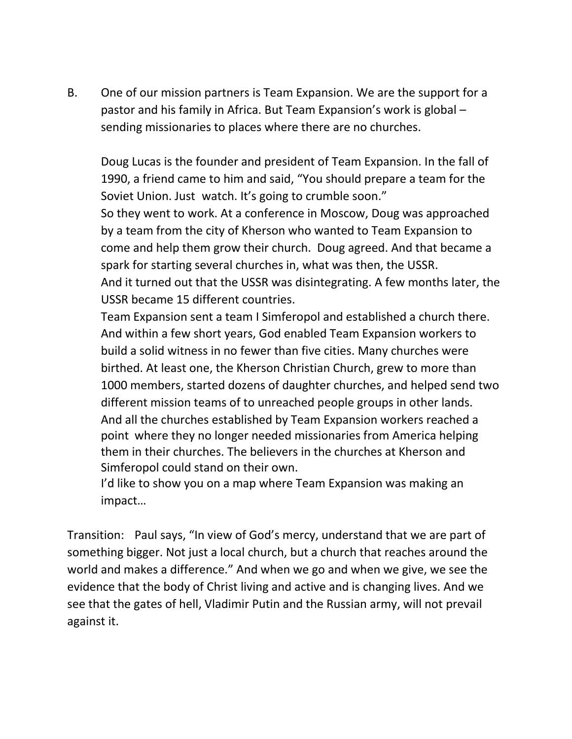B. One of our mission partners is Team Expansion. We are the support for a pastor and his family in Africa. But Team Expansion's work is global – sending missionaries to places where there are no churches.

Doug Lucas is the founder and president of Team Expansion. In the fall of 1990, a friend came to him and said, "You should prepare a team for the Soviet Union. Just watch. It's going to crumble soon."

So they went to work. At a conference in Moscow, Doug was approached by a team from the city of Kherson who wanted to Team Expansion to come and help them grow their church. Doug agreed. And that became a spark for starting several churches in, what was then, the USSR. And it turned out that the USSR was disintegrating. A few months later, the USSR became 15 different countries.

Team Expansion sent a team I Simferopol and established a church there. And within a few short years, God enabled Team Expansion workers to build a solid witness in no fewer than five cities. Many churches were birthed. At least one, the Kherson Christian Church, grew to more than 1000 members, started dozens of daughter churches, and helped send two different mission teams of to unreached people groups in other lands. And all the churches established by Team Expansion workers reached a point where they no longer needed missionaries from America helping them in their churches. The believers in the churches at Kherson and Simferopol could stand on their own.

I'd like to show you on a map where Team Expansion was making an impact…

Transition: Paul says, "In view of God's mercy, understand that we are part of something bigger. Not just a local church, but a church that reaches around the world and makes a difference." And when we go and when we give, we see the evidence that the body of Christ living and active and is changing lives. And we see that the gates of hell, Vladimir Putin and the Russian army, will not prevail against it.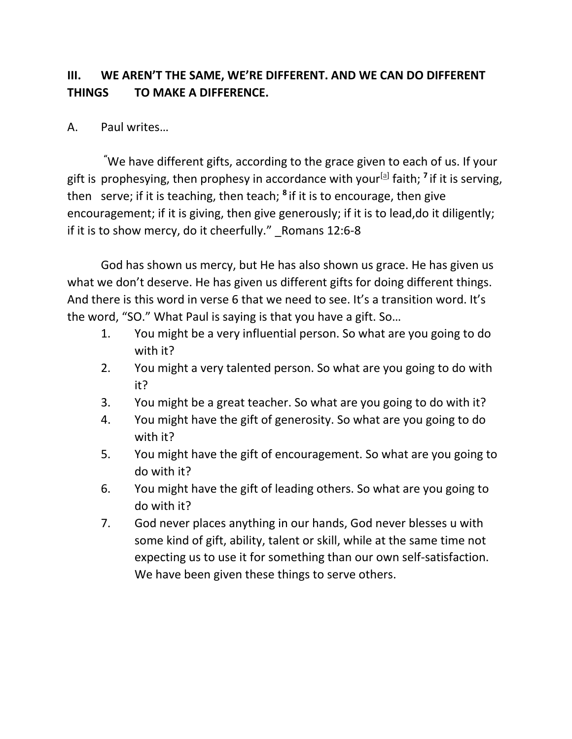## **III. WE AREN'T THE SAME, WE'RE DIFFERENT. AND WE CAN DO DIFFERENT THINGS TO MAKE A DIFFERENCE.**

## A. Paul writes…

**"**We have different gifts, according to the grace given to each of us. If your gift is prophesying, then prophesy in accordance with your<sup>[\[a\]](https://www.biblegateway.com/passage/?search=Romans+12%3A3-8&version=NIV#fen-NIV-28252a)</sup> faith; <sup>7</sup> if it is serving, then serve; if it is teaching, then teach; **<sup>8</sup>** if it is to encourage, then give encouragement; if it is giving, then give generously; if it is to lead,do it diligently; if it is to show mercy, do it cheerfully." Romans 12:6-8

God has shown us mercy, but He has also shown us grace. He has given us what we don't deserve. He has given us different gifts for doing different things. And there is this word in verse 6 that we need to see. It's a transition word. It's the word, "SO." What Paul is saying is that you have a gift. So…

- 1. You might be a very influential person. So what are you going to do with it?
- 2. You might a very talented person. So what are you going to do with it?
- 3. You might be a great teacher. So what are you going to do with it?
- 4. You might have the gift of generosity. So what are you going to do with it?
- 5. You might have the gift of encouragement. So what are you going to do with it?
- 6. You might have the gift of leading others. So what are you going to do with it?
- 7. God never places anything in our hands, God never blesses u with some kind of gift, ability, talent or skill, while at the same time not expecting us to use it for something than our own self-satisfaction. We have been given these things to serve others.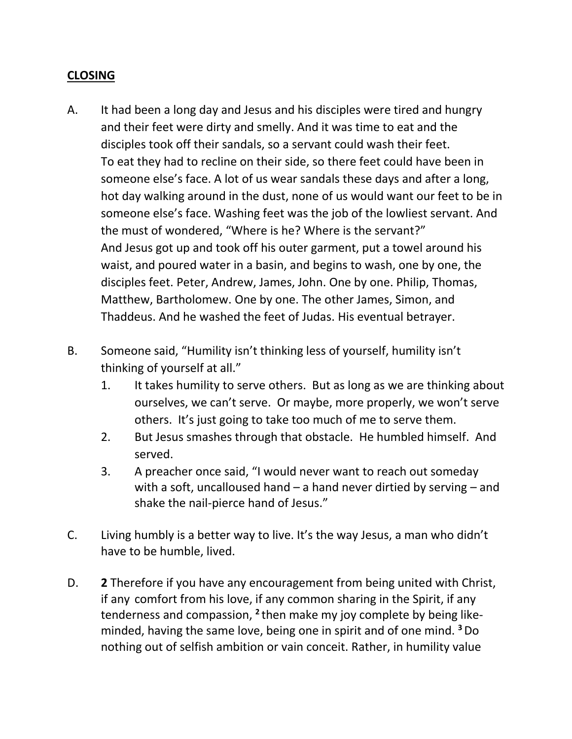#### **CLOSING**

- A. It had been a long day and Jesus and his disciples were tired and hungry and their feet were dirty and smelly. And it was time to eat and the disciples took off their sandals, so a servant could wash their feet. To eat they had to recline on their side, so there feet could have been in someone else's face. A lot of us wear sandals these days and after a long, hot day walking around in the dust, none of us would want our feet to be in someone else's face. Washing feet was the job of the lowliest servant. And the must of wondered, "Where is he? Where is the servant?" And Jesus got up and took off his outer garment, put a towel around his waist, and poured water in a basin, and begins to wash, one by one, the disciples feet. Peter, Andrew, James, John. One by one. Philip, Thomas, Matthew, Bartholomew. One by one. The other James, Simon, and Thaddeus. And he washed the feet of Judas. His eventual betrayer.
- B. Someone said, "Humility isn't thinking less of yourself, humility isn't thinking of yourself at all."
	- 1. It takes humility to serve others. But as long as we are thinking about ourselves, we can't serve. Or maybe, more properly, we won't serve others. It's just going to take too much of me to serve them.
	- 2. But Jesus smashes through that obstacle. He humbled himself. And served.
	- 3. A preacher once said, "I would never want to reach out someday with a soft, uncalloused hand – a hand never dirtied by serving – and shake the nail-pierce hand of Jesus."
- C. Living humbly is a better way to live. It's the way Jesus, a man who didn't have to be humble, lived.
- D. **2** Therefore if you have any encouragement from being united with Christ, if any comfort from his love, if any common sharing in the Spirit, if any tenderness and compassion, <sup>2</sup> then make my joy complete by being likeminded, having the same love, being one in spirit and of one mind. **<sup>3</sup>**Do nothing out of selfish ambition or vain conceit. Rather, in humility value